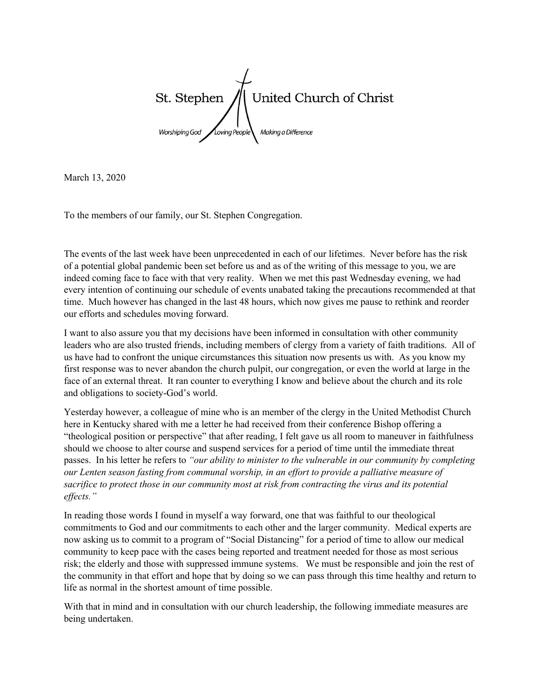St. Stephen United Church of Christ Making a Difference

March 13, 2020

To the members of our family, our St. Stephen Congregation.

The events of the last week have been unprecedented in each of our lifetimes. Never before has the risk of a potential global pandemic been set before us and as of the writing of this message to you, we are indeed coming face to face with that very reality. When we met this past Wednesday evening, we had every intention of continuing our schedule of events unabated taking the precautions recommended at that time. Much however has changed in the last 48 hours, which now gives me pause to rethink and reorder our efforts and schedules moving forward.

I want to also assure you that my decisions have been informed in consultation with other community leaders who are also trusted friends, including members of clergy from a variety of faith traditions. All of us have had to confront the unique circumstances this situation now presents us with. As you know my first response was to never abandon the church pulpit, our congregation, or even the world at large in the face of an external threat. It ran counter to everything I know and believe about the church and its role and obligations to society-God's world.

Yesterday however, a colleague of mine who is an member of the clergy in the United Methodist Church here in Kentucky shared with me a letter he had received from their conference Bishop offering a "theological position or perspective" that after reading, I felt gave us all room to maneuver in faithfulness should we choose to alter course and suspend services for a period of time until the immediate threat passes. In his letter he refers to *"our ability to minister to the vulnerable in our community by completing our Lenten season fasting from communal worship, in an effort to provide a palliative measure of sacrifice to protect those in our community most at risk from contracting the virus and its potential effects."*

In reading those words I found in myself a way forward, one that was faithful to our theological commitments to God and our commitments to each other and the larger community. Medical experts are now asking us to commit to a program of "Social Distancing" for a period of time to allow our medical community to keep pace with the cases being reported and treatment needed for those as most serious risk; the elderly and those with suppressed immune systems. We must be responsible and join the rest of the community in that effort and hope that by doing so we can pass through this time healthy and return to life as normal in the shortest amount of time possible.

With that in mind and in consultation with our church leadership, the following immediate measures are being undertaken.